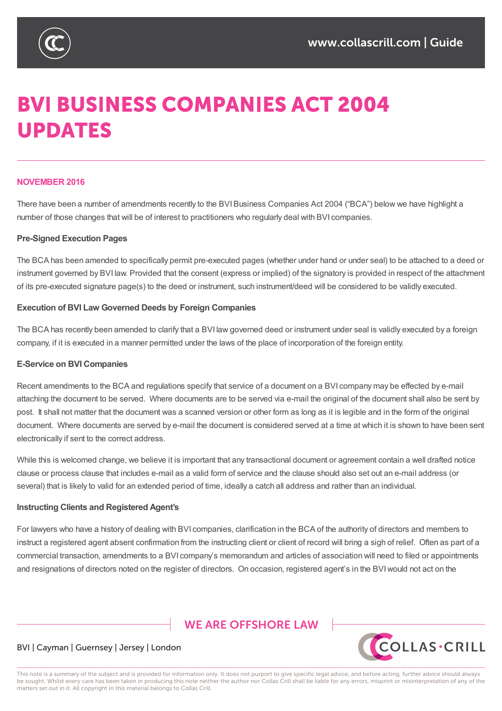

# **BVI BUSINESS COMPANIES ACT 2004 UPDATES**

## **NOVEMBER 2016**

There have been a number of amendments recently to the BVI Business Companies Act 2004 ("BCA") below we have highlight a number of those changes that will be of interest to practitioners who regularly deal with BVI companies.

#### **Pre-Signed Execution Pages**

The BCA has been amended to specifically permit pre-executed pages (whether under hand or under seal) to be attached to a deed or instrument governed by BVI law. Provided that the consent (express or implied) of the signatory is provided in respect of the attachment of its pre-executed signature page(s) to the deed or instrument, such instrument/deed will be considered to be validly executed.

#### **Execution of BVI Law Governed Deeds by Foreign Companies**

The BCA has recently been amended to clarify that a BVI law governed deed or instrument under seal is validly executed by a foreign company, if it is executed in a manner permitted under the laws of the place of incorporation of the foreign entity.

#### **E-Service on BVI Companies**

Recent amendments to the BCA and regulations specify that service of a document on a BVI company may be effected by e-mail attaching the document to be served. Where documents are to be served via e-mail the original of the document shall also be sent by post. It shall not matter that the document was a scanned version or other form as long as it is legible and in the form of the original document. Where documents are served by e-mail the document is considered served at a time at which it is shown to have been sent electronically if sent to the correct address.

While this is welcomed change, we believe it is important that any transactional document or agreement contain a well drafted notice clause or process clause that includes e-mail as a valid form of service and the clause should also set out an e-mail address (or several) that is likely to valid for an extended period of time, ideally a catch all address and rather than an individual.

#### **Instructing Clients and Registered Agent's**

For lawyers who have a history of dealing with BVI companies, clarification in the BCA of the authority of directors and members to instruct a registered agent absent confirmation from the instructing client or client of record will bring a sigh of relief. Often as part of a commercial transaction, amendments to a BVI company's memorandum and articles of association will need to filed or appointments and resignations of directors noted on the register of directors. On occasion, registered agent's in the BVIwould not act on the

## **WE ARE OFFSHORE I AW**



### BVI | Cayman | Guernsey | Jersey | London

This note is a summary of the subject and is provided for information only. It does not purport to give specific legal advice, and before acting, further advice should always be sought. Whilst every care has been taken in producing this note neither the author nor Collas Crill shall be liable for any errors, misprint or misinterpretation of any of the matters set out in it. All copyright in this material belongs to Collas Crill.